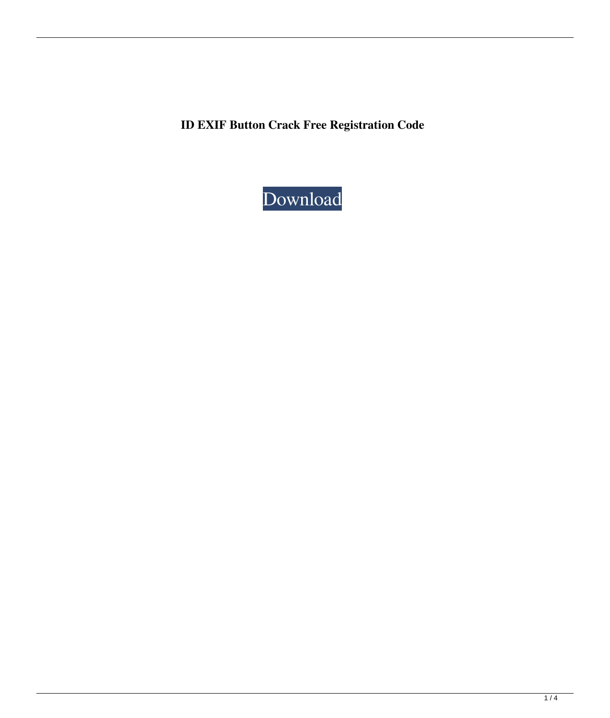**ID EXIF Button Crack Free Registration Code**

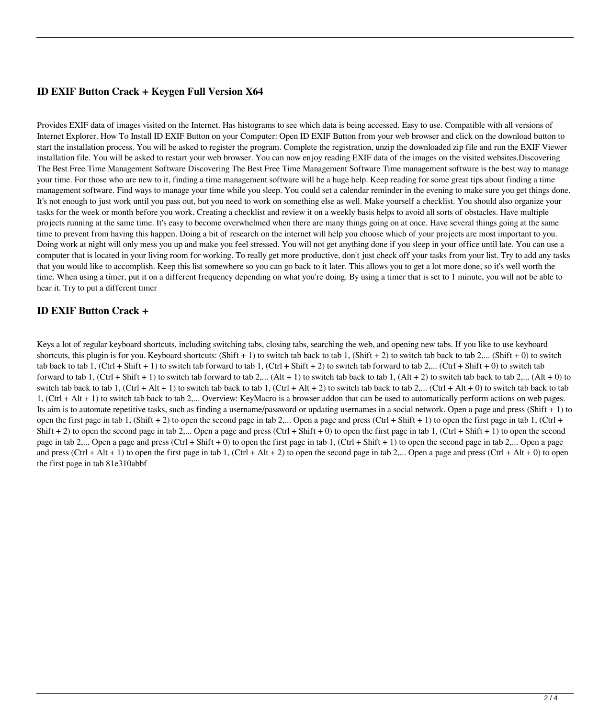# **ID EXIF Button Crack + Keygen Full Version X64**

Provides EXIF data of images visited on the Internet. Has histograms to see which data is being accessed. Easy to use. Compatible with all versions of Internet Explorer. How To Install ID EXIF Button on your Computer: Open ID EXIF Button from your web browser and click on the download button to start the installation process. You will be asked to register the program. Complete the registration, unzip the downloaded zip file and run the EXIF Viewer installation file. You will be asked to restart your web browser. You can now enjoy reading EXIF data of the images on the visited websites.Discovering The Best Free Time Management Software Discovering The Best Free Time Management Software Time management software is the best way to manage your time. For those who are new to it, finding a time management software will be a huge help. Keep reading for some great tips about finding a time management software. Find ways to manage your time while you sleep. You could set a calendar reminder in the evening to make sure you get things done. It's not enough to just work until you pass out, but you need to work on something else as well. Make yourself a checklist. You should also organize your tasks for the week or month before you work. Creating a checklist and review it on a weekly basis helps to avoid all sorts of obstacles. Have multiple projects running at the same time. It's easy to become overwhelmed when there are many things going on at once. Have several things going at the same time to prevent from having this happen. Doing a bit of research on the internet will help you choose which of your projects are most important to you. Doing work at night will only mess you up and make you feel stressed. You will not get anything done if you sleep in your office until late. You can use a computer that is located in your living room for working. To really get more productive, don't just check off your tasks from your list. Try to add any tasks that you would like to accomplish. Keep this list somewhere so you can go back to it later. This allows you to get a lot more done, so it's well worth the time. When using a timer, put it on a different frequency depending on what you're doing. By using a timer that is set to 1 minute, you will not be able to hear it. Try to put a different timer

## **ID EXIF Button Crack +**

Keys a lot of regular keyboard shortcuts, including switching tabs, closing tabs, searching the web, and opening new tabs. If you like to use keyboard shortcuts, this plugin is for you. Keyboard shortcuts: (Shift + 1) to switch tab back to tab 1, (Shift + 2) to switch tab back to tab 2,... (Shift + 0) to switch tab back to tab 1, (Ctrl + Shift + 1) to switch tab forward to tab 1, (Ctrl + Shift + 2) to switch tab forward to tab 2,... (Ctrl + Shift + 0) to switch tab forward to tab 1, (Ctrl + Shift + 1) to switch tab forward to tab 2,... (Alt + 1) to switch tab back to tab 1, (Alt + 2) to switch tab back to tab 2,... (Alt + 0) to switch tab back to tab 1,  $(Ctrl + Alt + 1)$  to switch tab back to tab 1,  $(Ctrl + Alt + 2)$  to switch tab back to tab 2,...  $(Ctrl + Alt + 0)$  to switch tab back to tab 1, (Ctrl + Alt + 1) to switch tab back to tab 2,... Overview: KeyMacro is a browser addon that can be used to automatically perform actions on web pages. Its aim is to automate repetitive tasks, such as finding a username/password or updating usernames in a social network. Open a page and press (Shift + 1) to open the first page in tab 1, (Shift + 2) to open the second page in tab 2,... Open a page and press (Ctrl + Shift + 1) to open the first page in tab 1, (Ctrl + Shift + 2) to open the second page in tab 2,... Open a page and press (Ctrl + Shift + 0) to open the first page in tab 1, (Ctrl + Shift + 1) to open the second page in tab 2,... Open a page and press (Ctrl + Shift + 0) to open the first page in tab 1, (Ctrl + Shift + 1) to open the second page in tab 2,... Open a page and press (Ctrl + Alt + 1) to open the first page in tab 1, (Ctrl + Alt + 2) to open the second page in tab 2,... Open a page and press (Ctrl + Alt + 0) to open the first page in tab 81e310abbf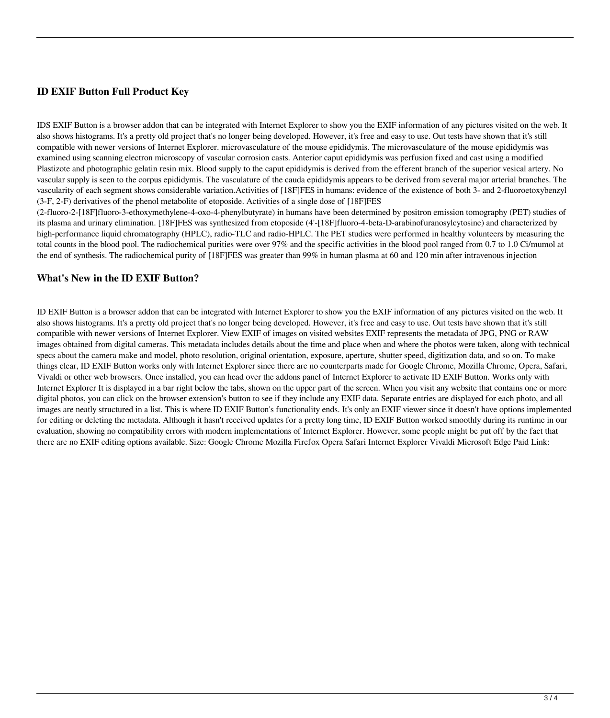# **ID EXIF Button Full Product Key**

IDS EXIF Button is a browser addon that can be integrated with Internet Explorer to show you the EXIF information of any pictures visited on the web. It also shows histograms. It's a pretty old project that's no longer being developed. However, it's free and easy to use. Out tests have shown that it's still compatible with newer versions of Internet Explorer. microvasculature of the mouse epididymis. The microvasculature of the mouse epididymis was examined using scanning electron microscopy of vascular corrosion casts. Anterior caput epididymis was perfusion fixed and cast using a modified Plastizote and photographic gelatin resin mix. Blood supply to the caput epididymis is derived from the efferent branch of the superior vesical artery. No vascular supply is seen to the corpus epididymis. The vasculature of the cauda epididymis appears to be derived from several major arterial branches. The vascularity of each segment shows considerable variation.Activities of [18F]FES in humans: evidence of the existence of both 3- and 2-fluoroetoxybenzyl (3-F, 2-F) derivatives of the phenol metabolite of etoposide. Activities of a single dose of [18F]FES

(2-fluoro-2-[18F]fluoro-3-ethoxymethylene-4-oxo-4-phenylbutyrate) in humans have been determined by positron emission tomography (PET) studies of its plasma and urinary elimination. [18F]FES was synthesized from etoposide (4'-[18F]fluoro-4-beta-D-arabinofuranosylcytosine) and characterized by high-performance liquid chromatography (HPLC), radio-TLC and radio-HPLC. The PET studies were performed in healthy volunteers by measuring the total counts in the blood pool. The radiochemical purities were over 97% and the specific activities in the blood pool ranged from 0.7 to 1.0 Ci/mumol at the end of synthesis. The radiochemical purity of [18F]FES was greater than 99% in human plasma at 60 and 120 min after intravenous injection

#### **What's New in the ID EXIF Button?**

ID EXIF Button is a browser addon that can be integrated with Internet Explorer to show you the EXIF information of any pictures visited on the web. It also shows histograms. It's a pretty old project that's no longer being developed. However, it's free and easy to use. Out tests have shown that it's still compatible with newer versions of Internet Explorer. View EXIF of images on visited websites EXIF represents the metadata of JPG, PNG or RAW images obtained from digital cameras. This metadata includes details about the time and place when and where the photos were taken, along with technical specs about the camera make and model, photo resolution, original orientation, exposure, aperture, shutter speed, digitization data, and so on. To make things clear, ID EXIF Button works only with Internet Explorer since there are no counterparts made for Google Chrome, Mozilla Chrome, Opera, Safari, Vivaldi or other web browsers. Once installed, you can head over the addons panel of Internet Explorer to activate ID EXIF Button. Works only with Internet Explorer It is displayed in a bar right below the tabs, shown on the upper part of the screen. When you visit any website that contains one or more digital photos, you can click on the browser extension's button to see if they include any EXIF data. Separate entries are displayed for each photo, and all images are neatly structured in a list. This is where ID EXIF Button's functionality ends. It's only an EXIF viewer since it doesn't have options implemented for editing or deleting the metadata. Although it hasn't received updates for a pretty long time, ID EXIF Button worked smoothly during its runtime in our evaluation, showing no compatibility errors with modern implementations of Internet Explorer. However, some people might be put off by the fact that there are no EXIF editing options available. Size: Google Chrome Mozilla Firefox Opera Safari Internet Explorer Vivaldi Microsoft Edge Paid Link: